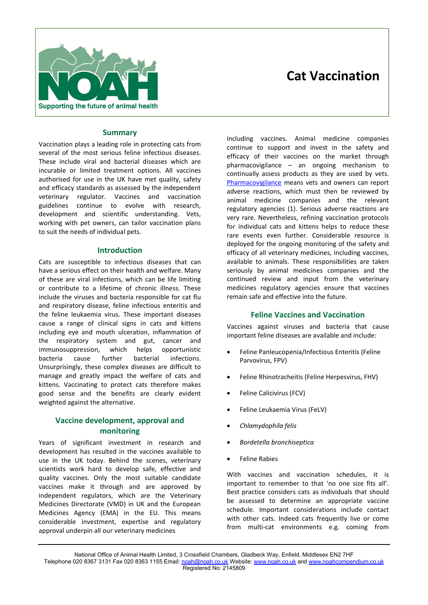

# **Cat Vaccination**

#### **Summary**

Vaccination plays a leading role in protecting cats from several of the most serious feline infectious diseases. These include viral and bacterial diseases which are incurable or limited treatment options. All vaccines authorised for use in the UK have met quality, safety and efficacy standards as assessed by the independent veterinary regulator. Vaccines and vaccination guidelines continue to evolve with research, development and scientific understanding. Vets, working with pet owners, can tailor vaccination plans to suit the needs of individual pets.

#### **Introduction**

Cats are susceptible to infectious diseases that can have a serious effect on their health and welfare. Many of these are viral infections, which can be life limiting or contribute to a lifetime of chronic illness. These include the viruses and bacteria responsible for cat flu and respiratory disease, feline infectious enteritis and the feline leukaemia virus. These important diseases cause a range of clinical signs in cats and kittens including eye and mouth ulceration, inflammation of the respiratory system and gut, cancer and immunosuppression, which helps opportunistic bacteria cause further bacterial infections. Unsurprisingly, these complex diseases are difficult to manage and greatly impact the welfare of cats and kittens. Vaccinating to protect cats therefore makes good sense and the benefits are clearly evident weighted against the alternative.

## **Vaccine development, approval and monitoring**

Years of significant investment in research and development has resulted in the vaccines available to use in the UK today. Behind the scenes, veterinary scientists work hard to develop safe, effective and quality vaccines. Only the most suitable candidate vaccines make it through and are approved by independent regulators, which are the Veterinary Medicines Directorate (VMD) in UK and the European Medicines Agency (EMA) in the EU. This means considerable investment, expertise and regulatory approval underpin all our veterinary medicines

including vaccines. Animal medicine companies continue to support and invest in the safety and efficacy of their vaccines on the market through pharmacovigilance – an ongoing mechanism to continually assess products as they are used by vets. Pharmacovigilance means vets and owners can report adverse reactions, which must then be reviewed by animal medicine companies and the relevant regulatory agencies (1). Serious adverse reactions are very rare. Nevertheless, refining vaccination protocols for individual cats and kittens helps to reduce these rare events even further. Considerable resource is deployed for the ongoing monitoring of the safety and efficacy of all veterinary medicines, including vaccines, available to animals. These responsibilities are taken seriously by animal medicines companies and the continued review and input from the veterinary medicines regulatory agencies ensure that vaccines remain safe and effective into the future.

#### **Feline Vaccines and Vaccination**

Vaccines against viruses and bacteria that cause important feline diseases are available and include:

- Feline Panleucopenia/Infectious Enteritis (Feline Parvovirus, FPV)
- Feline Rhinotracheitis (Feline Herpesvirus, FHV)
- Feline Calicivirus (FCV)
- Feline Leukaemia Virus (FeLV)
- *Chlamydophila felis*
- *Bordetella bronchiseptica*
- Feline Rabies

With vaccines and vaccination schedules, it is important to remember to that 'no one size fits all'. Best practice considers cats as individuals that should be assessed to determine an appropriate vaccine schedule. Important considerations include contact with other cats. Indeed cats frequently live or come from multi-cat environments e.g. coming from